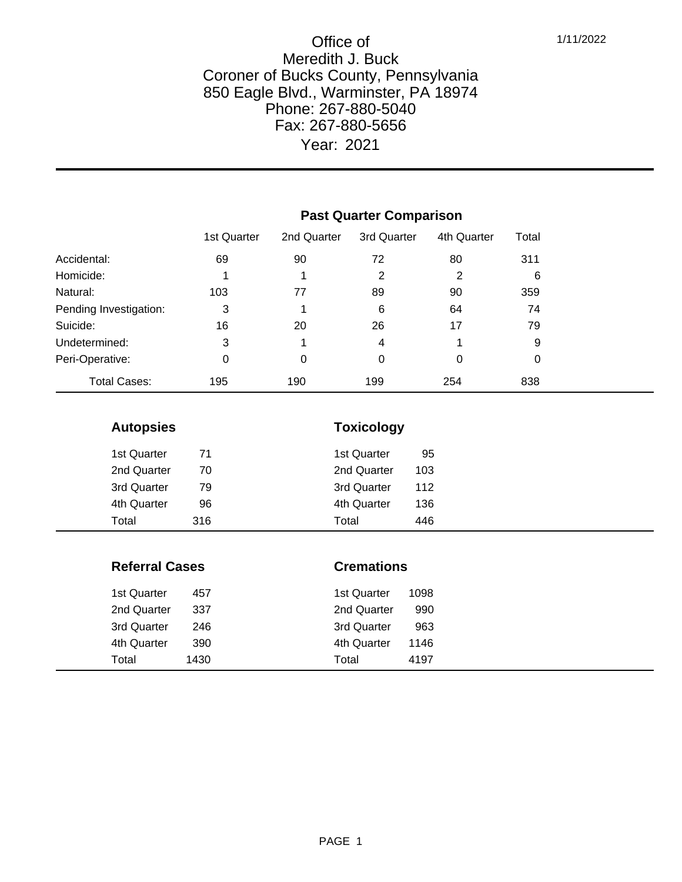|                        | <b>Past Quarter Comparison</b> |             |             |             |       |  |  |
|------------------------|--------------------------------|-------------|-------------|-------------|-------|--|--|
|                        | 1st Quarter                    | 2nd Quarter | 3rd Quarter | 4th Quarter | Total |  |  |
| Accidental:            | 69                             | 90          | 72          | 80          | 311   |  |  |
| Homicide:              |                                | 1           | 2           | 2           | 6     |  |  |
| Natural:               | 103                            | 77          | 89          | 90          | 359   |  |  |
| Pending Investigation: | 3                              |             | 6           | 64          | 74    |  |  |
| Suicide:               | 16                             | 20          | 26          | 17          | 79    |  |  |
| Undetermined:          | 3                              | 1           | 4           | 1           | 9     |  |  |
| Peri-Operative:        | 0                              | 0           | 0           | 0           | 0     |  |  |
| <b>Total Cases:</b>    | 195                            | 190         | 199         | 254         | 838   |  |  |

# **Autopsies Toxicology** 1st Quarter 71 1st Quarter 95 2nd Quarter 70 2nd Quarter 103

| 3rd Quarter | 79  | 3rd Quarter | 112 |  |
|-------------|-----|-------------|-----|--|
| 4th Quarter | 96  | 4th Quarter | 136 |  |
| Total       | 316 | Total       | 446 |  |
|             |     |             |     |  |

| <b>Referral Cases</b> |      |             | <b>Cremations</b> |  |  |
|-----------------------|------|-------------|-------------------|--|--|
| 1st Quarter           | 457  | 1st Quarter | 1098              |  |  |
| 2nd Quarter           | 337  | 2nd Quarter | 990               |  |  |
| 3rd Quarter           | 246  | 3rd Quarter | 963               |  |  |
| 4th Quarter           | 390  | 4th Quarter | 1146              |  |  |
| Total                 | 1430 | Total       | 4197              |  |  |

PAGE 1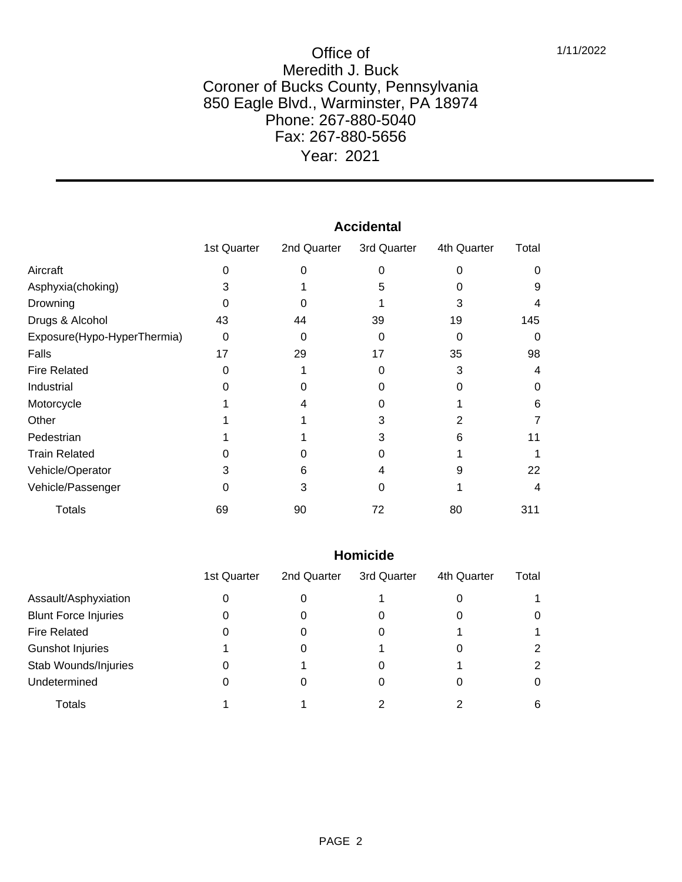|                             | Accidental  |             |             |             |       |  |
|-----------------------------|-------------|-------------|-------------|-------------|-------|--|
|                             | 1st Quarter | 2nd Quarter | 3rd Quarter | 4th Quarter | Total |  |
| Aircraft                    | 0           |             | O           | O           | 0     |  |
| Asphyxia(choking)           | 3           |             | 5           |             | 9     |  |
| Drowning                    | 0           |             |             | 3           | 4     |  |
| Drugs & Alcohol             | 43          | 44          | 39          | 19          | 145   |  |
| Exposure(Hypo-HyperThermia) | 0           | ი           | O           | 0           | 0     |  |
| Falls                       | 17          | 29          | 17          | 35          | 98    |  |
| <b>Fire Related</b>         | 0           |             |             | 3           | 4     |  |
| Industrial                  | 0           |             |             | O           | 0     |  |
| Motorcycle                  |             |             |             |             | 6     |  |
| Other                       |             |             | 3           |             |       |  |
| Pedestrian                  |             |             | 3           | 6           |       |  |
| <b>Train Related</b>        |             |             |             |             |       |  |
| Vehicle/Operator            | 3           | 6           |             | 9           | 22    |  |
| Vehicle/Passenger           | 0           | 3           |             |             | 4     |  |
| <b>Totals</b>               | 69          | 90          | 72          | 80          | 311   |  |

### **Accidental**

#### **Homicide**

|                             | 1st Quarter | 2nd Quarter | 3rd Quarter | 4th Quarter | Total |
|-----------------------------|-------------|-------------|-------------|-------------|-------|
| Assault/Asphyxiation        |             | O           |             |             |       |
| <b>Blunt Force Injuries</b> | 0           | O           |             | 0           |       |
| <b>Fire Related</b>         |             |             |             |             |       |
| <b>Gunshot Injuries</b>     |             |             |             |             | 2     |
| Stab Wounds/Injuries        | 0           |             |             |             | 2     |
| Undetermined                |             |             |             |             | 0     |
| Totals                      |             |             |             |             | 6     |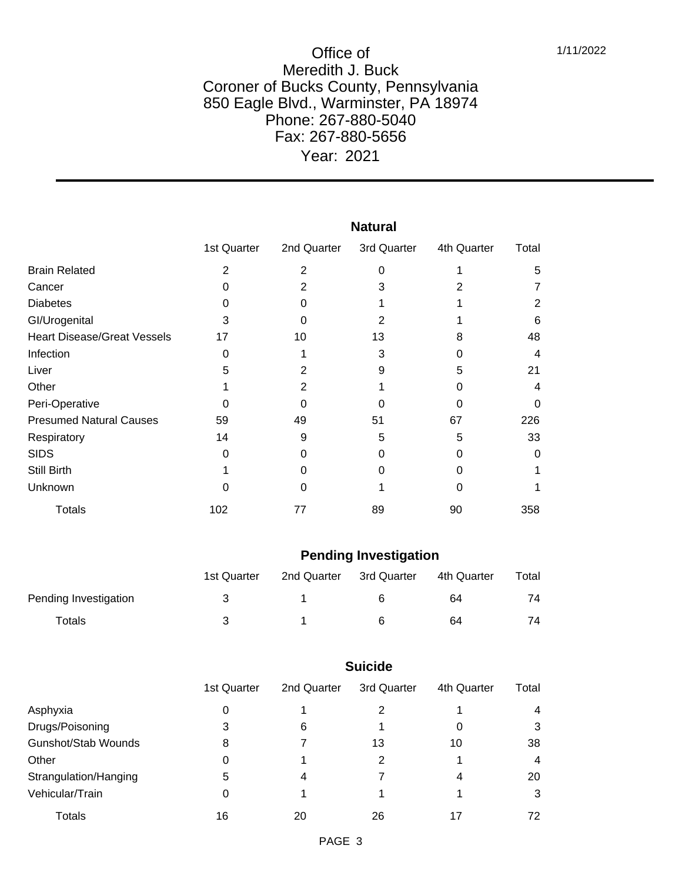|                                    | <b>Natural</b> |             |             |             |       |  |  |
|------------------------------------|----------------|-------------|-------------|-------------|-------|--|--|
|                                    | 1st Quarter    | 2nd Quarter | 3rd Quarter | 4th Quarter | Total |  |  |
| <b>Brain Related</b>               | $\overline{2}$ | 2           | 0           |             | 5     |  |  |
| Cancer                             | O              | 2           | 3           | 2           |       |  |  |
| <b>Diabetes</b>                    | O              |             |             |             | 2     |  |  |
| GI/Urogenital                      | 3              | O           | 2           |             | 6     |  |  |
| <b>Heart Disease/Great Vessels</b> | 17             | 10          | 13          | 8           | 48    |  |  |
| Infection                          | 0              |             | 3           | O           | 4     |  |  |
| Liver                              | 5              |             | 9           | 5           | 21    |  |  |
| Other                              |                | 2           |             | 0           | 4     |  |  |
| Peri-Operative                     | 0              | O           |             | 0           | 0     |  |  |
| <b>Presumed Natural Causes</b>     | 59             | 49          | 51          | 67          | 226   |  |  |
| Respiratory                        | 14             | 9           | 5           | 5           | 33    |  |  |
| <b>SIDS</b>                        | 0              |             | 0           | O           | 0     |  |  |
| Still Birth                        |                |             |             | 0           |       |  |  |
| Unknown                            | 0              | O           |             | 0           |       |  |  |
| <b>Totals</b>                      | 102            | 77          | 89          | 90          | 358   |  |  |

#### **Pending Investigation**

|                       | 1st Quarter | 2nd Quarter | 3rd Quarter | 4th Quarter | Total |
|-----------------------|-------------|-------------|-------------|-------------|-------|
| Pending Investigation | 3           |             | 6           | 64          | 74    |
| Totals                | ≺           |             | 6           | 64          | 74    |

## **Suicide**

|                            | 1st Quarter | 2nd Quarter | 3rd Quarter | 4th Quarter | Total |
|----------------------------|-------------|-------------|-------------|-------------|-------|
| Asphyxia                   | 0           |             | 2           |             | 4     |
| Drugs/Poisoning            | 3           | 6           |             | O           | 3     |
| <b>Gunshot/Stab Wounds</b> | 8           |             | 13          | 10          | 38    |
| Other                      | 0           |             | 2           |             | 4     |
| Strangulation/Hanging      | 5           | 4           |             | 4           | 20    |
| Vehicular/Train            | 0           |             |             |             | 3     |
| Totals                     | 16          | 20          | 26          | 17          | 72    |